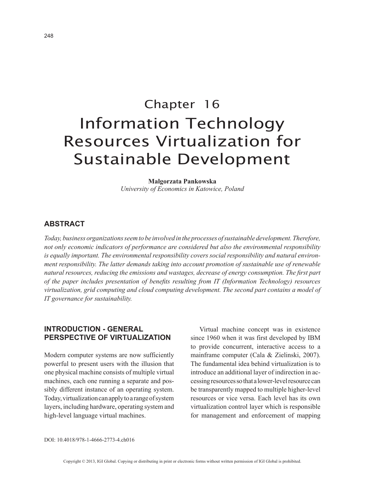# Chapter 16 Information Technology Resources Virtualization for Sustainable Development

**Malgorzata Pankowska** *University of Economics in Katowice, Poland*

# **ABSTRACT**

*Today, business organizations seem to be involved in the processes of sustainable development. Therefore, not only economic indicators of performance are considered but also the environmental responsibility is equally important. The environmental responsibility covers social responsibility and natural environment responsibility. The latter demands taking into account promotion of sustainable use of renewable natural resources, reducing the emissions and wastages, decrease of energy consumption. The first part of the paper includes presentation of benefits resulting from IT (Information Technology) resources virtualization, grid computing and cloud computing development. The second part contains a model of IT governance for sustainability.*

# **INTRODUCTION - GENERAL PERSPECTIVE OF VIRTUALIZATION**

Modern computer systems are now sufficiently powerful to present users with the illusion that one physical machine consists of multiple virtual machines, each one running a separate and possibly different instance of an operating system. Today, virtualization can apply to a range of system layers, including hardware, operating system and high-level language virtual machines.

Virtual machine concept was in existence since 1960 when it was first developed by IBM to provide concurrent, interactive access to a mainframe computer (Cala & Zielinski, 2007). The fundamental idea behind virtualization is to introduce an additional layer of indirection in accessing resources so that a lower-level resource can be transparently mapped to multiple higher-level resources or vice versa. Each level has its own virtualization control layer which is responsible for management and enforcement of mapping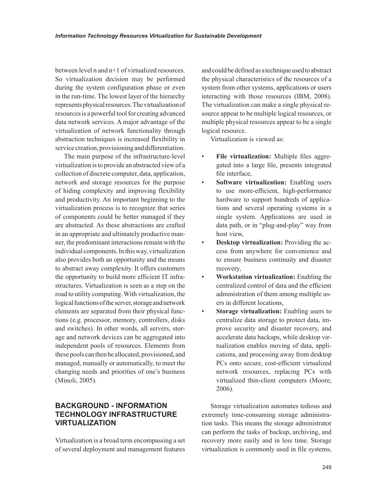between level n and n+1 of virtualized resources. So virtualization decision may be performed during the system configuration phase or even in the run-time. The lowest layer of the hierarchy represents physical resources. The virtualization of resources is a powerful tool for creating advanced data network services. A major advantage of the virtualization of network functionality through abstraction techniques is increased flexibility in service creation, provisioning and differentiation.

The main purpose of the infrastructure-level virtualization is to provide an abstracted view of a collection of discrete computer, data, application, network and storage resources for the purpose of hiding complexity and improving flexibility and productivity. An important beginning to the virtualization process is to recognize that series of components could be better managed if they are abstracted. As these abstractions are crafted in an appropriate and ultimately productive manner, the predominant interactions remain with the individual components. In this way, virtualization also provides both an opportunity and the means to abstract away complexity. It offers customers the opportunity to build more efficient IT infrastructures. Virtualization is seen as a step on the road to utility computing. With virtualization, the logical functions of the server, storage and network elements are separated from their physical functions (e.g. processor, memory, controllers, disks and switches). In other words, all servers, storage and network devices can be aggregated into independent pools of resources. Elements from these pools can then be allocated, provisioned, and managed, manually or automatically, to meet the changing needs and priorities of one's business (Minoli, 2005).

# **BACKGROUND - INFORMATION TECHNOLOGY INFRASTRUCTURE VIRTUALIZATION**

Virtualization is a broad term encompassing a set of several deployment and management features

and could be defined as a technique used to abstract the physical characteristics of the resources of a system from other systems, applications or users interacting with those resources (IBM, 2008). The virtualization can make a single physical resource appear to be multiple logical resources, or multiple physical resources appear to be a single logical resource.

Virtualization is viewed as:

- **File virtualization:** Multiple files aggregated into a large file, presents integrated file interface,
- **Software virtualization:** Enabling users to use more-efficient, high-performance hardware to support hundreds of applications and several operating systems in a single system. Applications are used in data path, or in "plug-and-play" way from host view,
- **Desktop virtualization:** Providing the access from anywhere for convenience and to ensure business continuity and disaster recovery,
- **Workstation virtualization:** Enabling the centralized control of data and the efficient administration of them among multiple users in different locations,
- **Storage virtualization:** Enabling users to centralize data storage to protect data, improve security and disaster recovery, and accelerate data backups, while desktop virtualization enables moving of data, applications, and processing away from desktop PCs onto secure, cost-efficient virtualized network resources, replacing PCs with virtualized thin-client computers (Moore, 2006).

Storage virtualization automates tedious and extremely time-consuming storage administration tasks. This means the storage administrator can perform the tasks of backup, archiving, and recovery more easily and in less time. Storage virtualization is commonly used in file systems,